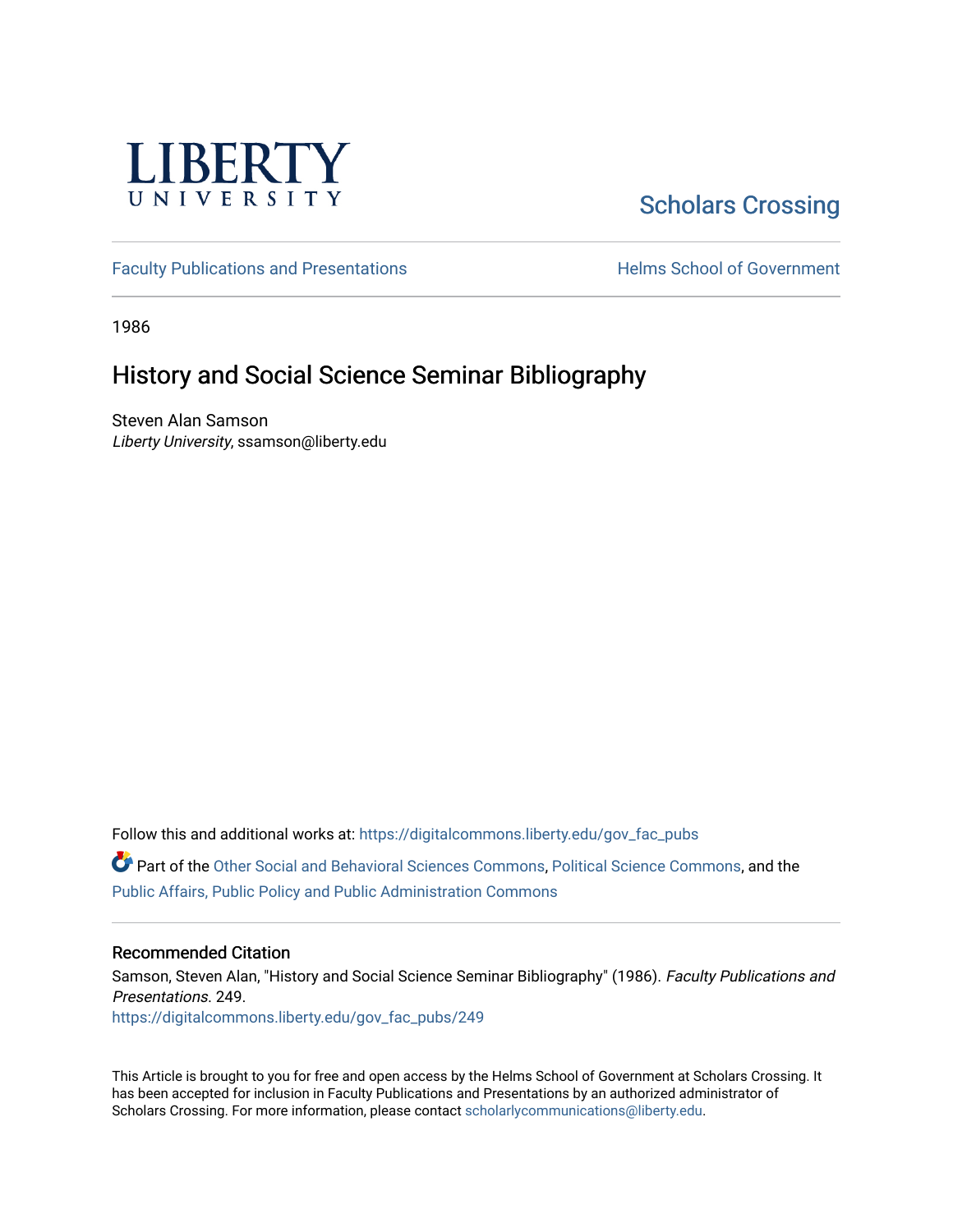

# [Scholars Crossing](https://digitalcommons.liberty.edu/)

[Faculty Publications and Presentations](https://digitalcommons.liberty.edu/gov_fac_pubs) **Exercise School of Government** 

1986

## History and Social Science Seminar Bibliography

Steven Alan Samson Liberty University, ssamson@liberty.edu

Follow this and additional works at: [https://digitalcommons.liberty.edu/gov\\_fac\\_pubs](https://digitalcommons.liberty.edu/gov_fac_pubs?utm_source=digitalcommons.liberty.edu%2Fgov_fac_pubs%2F249&utm_medium=PDF&utm_campaign=PDFCoverPages)

Part of the [Other Social and Behavioral Sciences Commons](http://network.bepress.com/hgg/discipline/437?utm_source=digitalcommons.liberty.edu%2Fgov_fac_pubs%2F249&utm_medium=PDF&utm_campaign=PDFCoverPages), [Political Science Commons](http://network.bepress.com/hgg/discipline/386?utm_source=digitalcommons.liberty.edu%2Fgov_fac_pubs%2F249&utm_medium=PDF&utm_campaign=PDFCoverPages), and the [Public Affairs, Public Policy and Public Administration Commons](http://network.bepress.com/hgg/discipline/393?utm_source=digitalcommons.liberty.edu%2Fgov_fac_pubs%2F249&utm_medium=PDF&utm_campaign=PDFCoverPages)

#### Recommended Citation

Samson, Steven Alan, "History and Social Science Seminar Bibliography" (1986). Faculty Publications and Presentations. 249. [https://digitalcommons.liberty.edu/gov\\_fac\\_pubs/249](https://digitalcommons.liberty.edu/gov_fac_pubs/249?utm_source=digitalcommons.liberty.edu%2Fgov_fac_pubs%2F249&utm_medium=PDF&utm_campaign=PDFCoverPages)

This Article is brought to you for free and open access by the Helms School of Government at Scholars Crossing. It has been accepted for inclusion in Faculty Publications and Presentations by an authorized administrator of Scholars Crossing. For more information, please contact [scholarlycommunications@liberty.edu.](mailto:scholarlycommunications@liberty.edu)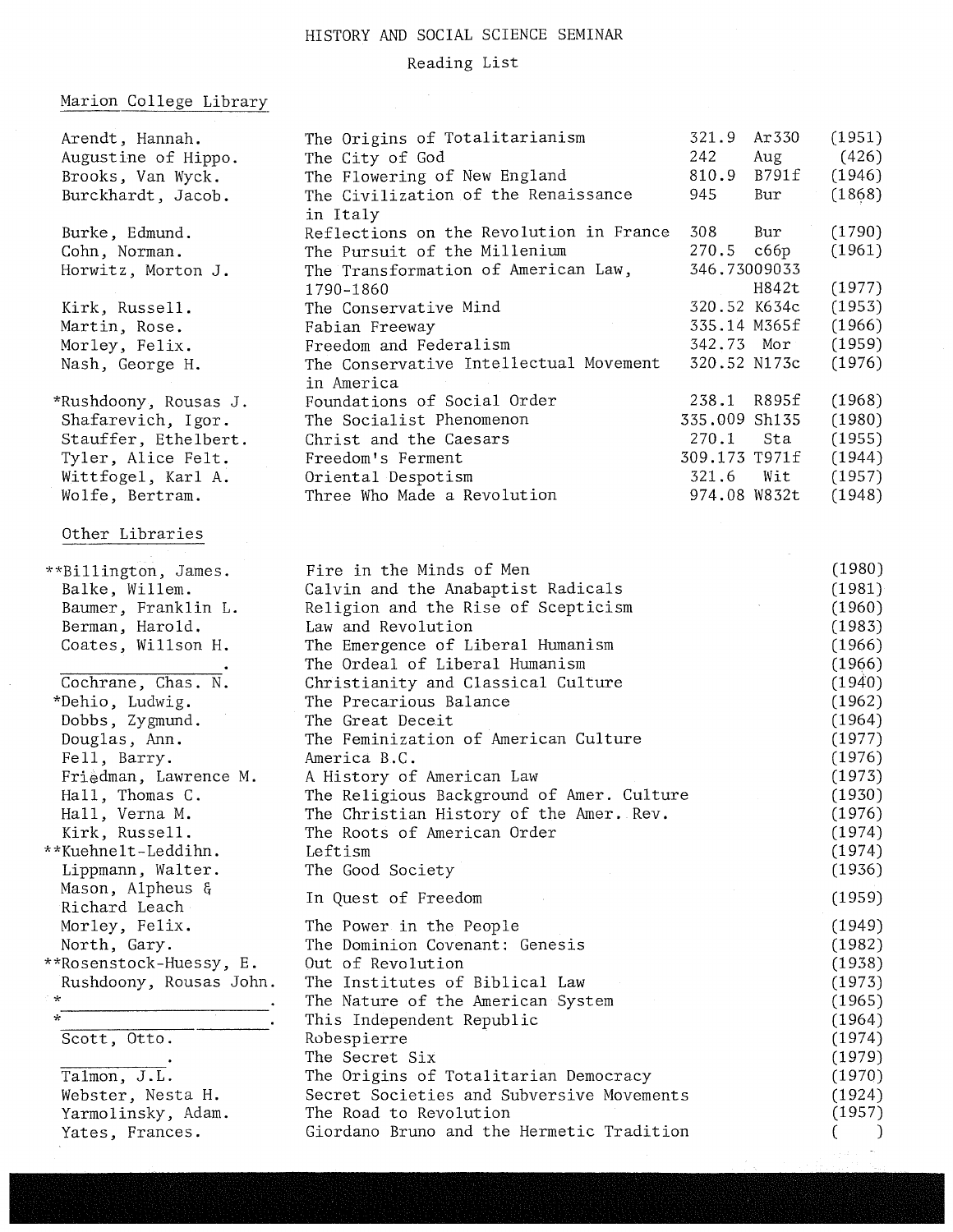### HISTORY AND SOCIAL SCIENCE SEMINAR

### Reading List

### Marion College Library

 $\hat{\mathcal{L}}$ 

| Arendt, Hannah.         | The Origins of Totalitarianism                       | 321.9         | Ar 330 | (1951) |
|-------------------------|------------------------------------------------------|---------------|--------|--------|
| Augustine of Hippo.     | The City of God                                      | 242           | Aug    | (426)  |
| Brooks, Van Wyck.       | The Flowering of New England                         | 810.9         | B791f  | (1946) |
| Burckhardt, Jacob.      | The Civilization of the Renaissance<br>in Italy      | 945           | Bur    | (1868) |
| Burke, Edmund.          | Reflections on the Revolution in France              | 308           | Bur    | (1790) |
| Cohn, Norman.           | The Pursuit of the Millenium                         | 270.5 сббр    |        | (1961) |
| Horwitz, Morton J.      | The Transformation of American Law,                  | 346.73009033  |        |        |
|                         | 1790-1860                                            |               | H842t  | (1977) |
| Kirk, Russell.          | The Conservative Mind                                | 320.52 K634c  |        | (1953) |
| Martin, Rose.           | Fabian Freeway                                       | 335.14 M365f  |        | (1966) |
| Morley, Felix.          | Freedom and Federalism                               | 342.73 Mor    |        | (1959) |
| Nash, George H.         | The Conservative Intellectual Movement<br>in America | 320.52 N173c  |        | (1976) |
| *Rushdoony, Rousas J.   | Foundations of Social Order                          | 238.1 R895f   |        | (1968) |
| Shafarevich, Igor.      | The Socialist Phenomenon                             | 335.009 Sh135 |        | (1980) |
| Stauffer, Ethelbert.    | Christ and the Caesars                               | 270.1         | Sta    | (1955) |
| Tyler, Alice Felt.      | Freedom's Ferment                                    | 309.173 T971f |        | (1944) |
| Wittfogel, Karl A.      | Oriental Despotism                                   | 321.6         | Wit    | (1957) |
| Wolfe, Bertram.         | Three Who Made a Revolution                          | 974.08 W832t  |        | (1948) |
| Other Libraries         |                                                      |               |        |        |
| **Billington, James.    | Fire in the Minds of Men                             |               |        | (1980) |
| Balke, Willem.          | Calvin and the Anabaptist Radicals                   |               |        | (1981) |
| Baumer, Franklin L.     | Religion and the Rise of Scepticism                  |               |        | (1960) |
| Berman, Harold.         | Law and Revolution                                   |               |        | (1983) |
| Coates, Willson H.      | The Emergence of Liberal Humanism                    |               |        | (1966) |
|                         | The Ordeal of Liberal Humanism                       |               |        | (1966) |
| Cochrane, Chas. N.      | Christianity and Classical Culture                   |               |        | (1940) |
| *Dehio, Ludwig.         | The Precarious Balance                               |               |        | (1962) |
| Dobbs, Zygmund.         | The Great Deceit                                     |               |        | (1964) |
| Douglas, Ann.           | The Feminization of American Culture                 |               |        | (1977) |
| Fell, Barry.            | America B.C.                                         |               |        | (1976) |
| Friedman, Lawrence M.   | A History of American Law                            |               |        | (1973) |
| Hall, Thomas C.         | The Religious Background of Amer. Culture            |               |        | (1930) |
| Hall, Verna M.          | The Christian History of the Amer. Rev.              |               |        | (1976) |
| Kirk, Russell.          | The Roots of American Order                          |               |        | (1974) |
| **Kuehnelt-Leddihn.     | Leftism                                              |               |        | (1974) |
| Lippmann, Walter.       | The Good Society                                     |               |        | (1936) |
| Mason, Alpheus &        | In Quest of Freedom                                  |               |        | (1959) |
| Richard Leach           |                                                      |               |        |        |
| Morley, Felix.          | The Power in the People                              |               |        | (1949) |
| North, Gary.            | The Dominion Covenant: Genesis                       |               |        | (1982) |
| **Rosenstock-Huessy, E. | Out of Revolution                                    |               |        | (1938) |
| Rushdoony, Rousas John. | The Institutes of Biblical Law                       |               |        | (1973) |
| $\star$                 | The Nature of the American System                    |               |        | (1965) |
| $\star$                 | This Independent Republic                            |               |        | (1964) |
| Scott, Otto.            | Robespierre                                          |               |        | (1974) |
|                         | The Secret Six                                       |               |        | (1979) |
| Talmon, J.L.            | The Origins of Totalitarian Democracy                |               |        | (1970) |
| Webster, Nesta H.       | Secret Societies and Subversive Movements            |               |        | (1924) |
| Yarmolinsky, Adam.      | The Road to Revolution                               |               |        | (1957) |
| Yates, Frances.         | Giordano Bruno and the Hermetic Tradition            |               |        |        |
|                         |                                                      |               |        |        |